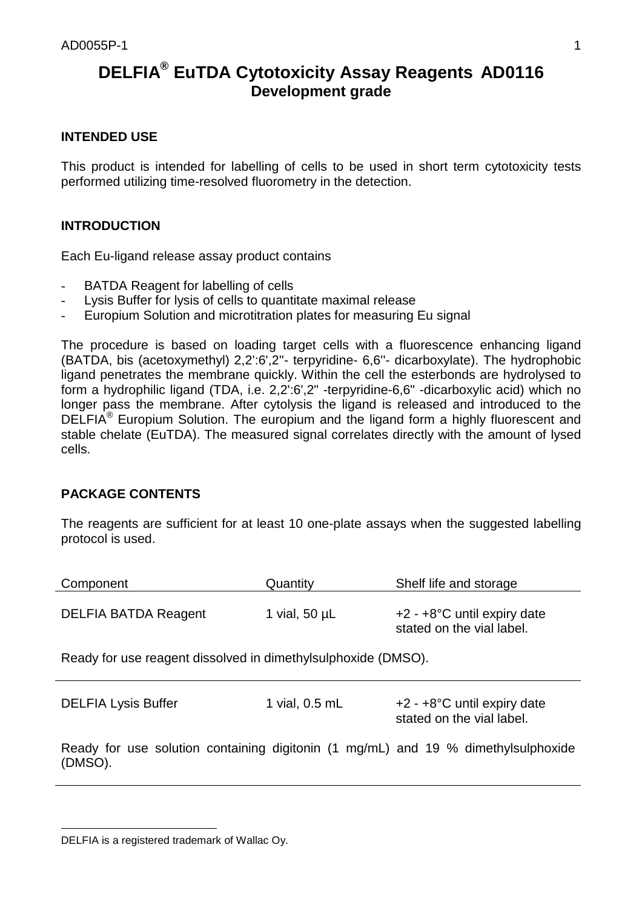# **DELFIA® EuTDA Cytotoxicity Assay Reagents AD0116 Development grade**

# **INTENDED USE**

This product is intended for labelling of cells to be used in short term cytotoxicity tests performed utilizing time-resolved fluorometry in the detection.

# **INTRODUCTION**

Each Eu-ligand release assay product contains

- BATDA Reagent for labelling of cells
- Lysis Buffer for lysis of cells to quantitate maximal release
- Europium Solution and microtitration plates for measuring Eu signal

The procedure is based on loading target cells with a fluorescence enhancing ligand (BATDA, bis (acetoxymethyl) 2,2':6',2''- terpyridine- 6,6''- dicarboxylate). The hydrophobic ligand penetrates the membrane quickly. Within the cell the esterbonds are hydrolysed to form a hydrophilic ligand (TDA, i.e. 2,2':6',2" -terpyridine-6,6" -dicarboxylic acid) which no longer pass the membrane. After cytolysis the ligand is released and introduced to the DELFIA® Europium Solution. The europium and the ligand form a highly fluorescent and stable chelate (EuTDA). The measured signal correlates directly with the amount of lysed cells.

# **PACKAGE CONTENTS**

The reagents are sufficient for at least 10 one-plate assays when the suggested labelling protocol is used.

| Component                                                                                    | Quantity           | Shelf life and storage                                        |  |
|----------------------------------------------------------------------------------------------|--------------------|---------------------------------------------------------------|--|
| <b>DELFIA BATDA Reagent</b>                                                                  | 1 vial, $50 \mu L$ | $+2$ - $+8$ °C until expiry date<br>stated on the vial label. |  |
| Ready for use reagent dissolved in dimethylsulphoxide (DMSO).                                |                    |                                                               |  |
| <b>DELFIA Lysis Buffer</b>                                                                   | 1 vial, 0.5 mL     | $+2$ - $+8$ °C until expiry date<br>stated on the vial label. |  |
| Ready for use solution containing digitonin (1 mg/mL) and 19 % dimethylsulphoxide<br>(DMSO). |                    |                                                               |  |

l

DELFIA is a registered trademark of Wallac Oy.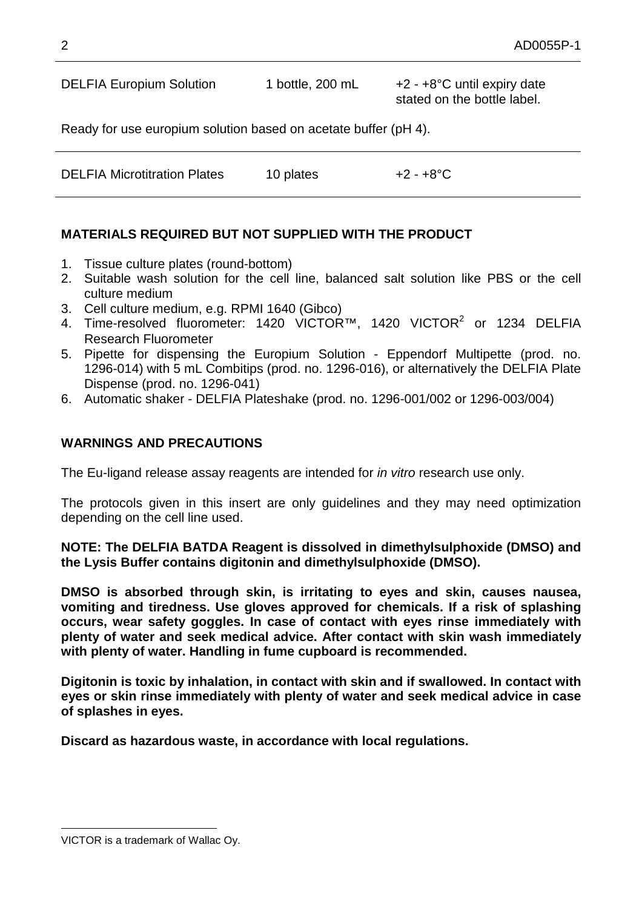DELFIA Europium Solution 1 bottle, 200 mL +2 - +8°C until expiry date stated on the bottle label.

Ready for use europium solution based on acetate buffer (pH 4).

| <b>DELFIA Microtitration Plates</b> | 10 plates | +2 - +8°C |
|-------------------------------------|-----------|-----------|
|                                     |           |           |

# **MATERIALS REQUIRED BUT NOT SUPPLIED WITH THE PRODUCT**

- 1. Tissue culture plates (round-bottom)
- 2. Suitable wash solution for the cell line, balanced salt solution like PBS or the cell culture medium
- 3. Cell culture medium, e.g. RPMI 1640 (Gibco)
- 4. Time-resolved fluorometer: 1420 VICTOR™, 1420 VICTOR<sup>2</sup> or 1234 DELFIA Research Fluorometer
- 5. Pipette for dispensing the Europium Solution Eppendorf Multipette (prod. no. 1296-014) with 5 mL Combitips (prod. no. 1296-016), or alternatively the DELFIA Plate Dispense (prod. no. 1296-041)
- 6. Automatic shaker DELFIA Plateshake (prod. no. 1296-001/002 or 1296-003/004)

### **WARNINGS AND PRECAUTIONS**

The Eu-ligand release assay reagents are intended for *in vitro* research use only.

The protocols given in this insert are only guidelines and they may need optimization depending on the cell line used.

**NOTE: The DELFIA BATDA Reagent is dissolved in dimethylsulphoxide (DMSO) and the Lysis Buffer contains digitonin and dimethylsulphoxide (DMSO).**

**DMSO is absorbed through skin, is irritating to eyes and skin, causes nausea, vomiting and tiredness. Use gloves approved for chemicals. If a risk of splashing occurs, wear safety goggles. In case of contact with eyes rinse immediately with plenty of water and seek medical advice. After contact with skin wash immediately with plenty of water. Handling in fume cupboard is recommended.**

**Digitonin is toxic by inhalation, in contact with skin and if swallowed. In contact with eyes or skin rinse immediately with plenty of water and seek medical advice in case of splashes in eyes.**

**Discard as hazardous waste, in accordance with local regulations.**

l

VICTOR is a trademark of Wallac Oy.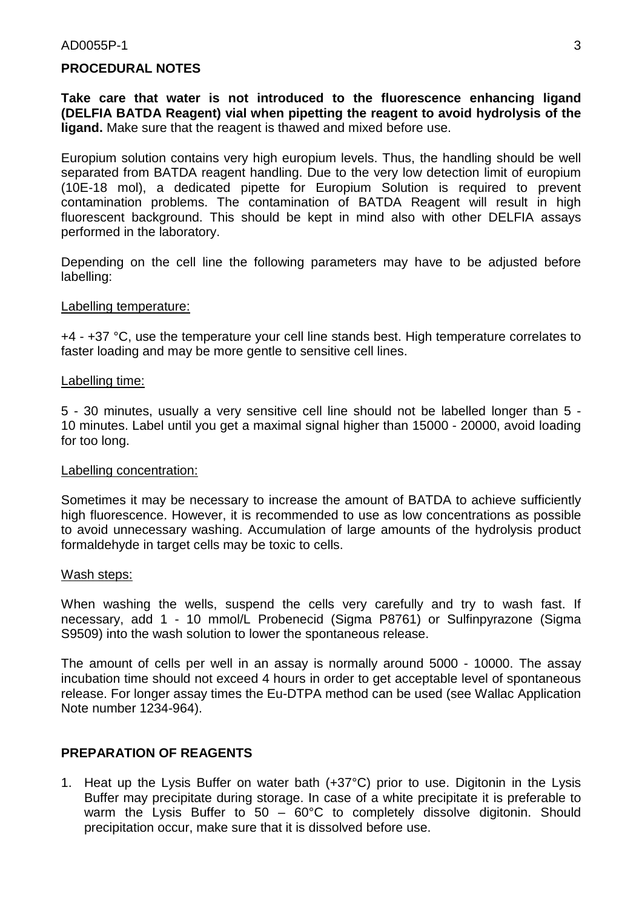#### $AD0055P-1$  3

#### **PROCEDURAL NOTES**

**Take care that water is not introduced to the fluorescence enhancing ligand (DELFIA BATDA Reagent) vial when pipetting the reagent to avoid hydrolysis of the ligand.** Make sure that the reagent is thawed and mixed before use.

Europium solution contains very high europium levels. Thus, the handling should be well separated from BATDA reagent handling. Due to the very low detection limit of europium (10E-18 mol), a dedicated pipette for Europium Solution is required to prevent contamination problems. The contamination of BATDA Reagent will result in high fluorescent background. This should be kept in mind also with other DELFIA assays performed in the laboratory.

Depending on the cell line the following parameters may have to be adjusted before labelling:

#### Labelling temperature:

+4 - +37 °C, use the temperature your cell line stands best. High temperature correlates to faster loading and may be more gentle to sensitive cell lines.

#### Labelling time:

5 - 30 minutes, usually a very sensitive cell line should not be labelled longer than 5 - 10 minutes. Label until you get a maximal signal higher than 15000 - 20000, avoid loading for too long.

#### Labelling concentration:

Sometimes it may be necessary to increase the amount of BATDA to achieve sufficiently high fluorescence. However, it is recommended to use as low concentrations as possible to avoid unnecessary washing. Accumulation of large amounts of the hydrolysis product formaldehyde in target cells may be toxic to cells.

#### Wash steps:

When washing the wells, suspend the cells very carefully and try to wash fast. If necessary, add 1 - 10 mmol/L Probenecid (Sigma P8761) or Sulfinpyrazone (Sigma S9509) into the wash solution to lower the spontaneous release.

The amount of cells per well in an assay is normally around 5000 - 10000. The assay incubation time should not exceed 4 hours in order to get acceptable level of spontaneous release. For longer assay times the Eu-DTPA method can be used (see Wallac Application Note number 1234-964).

### **PREPARATION OF REAGENTS**

1. Heat up the Lysis Buffer on water bath (+37°C) prior to use. Digitonin in the Lysis Buffer may precipitate during storage. In case of a white precipitate it is preferable to warm the Lysis Buffer to  $50 - 60^{\circ}$ C to completely dissolve digitonin. Should precipitation occur, make sure that it is dissolved before use.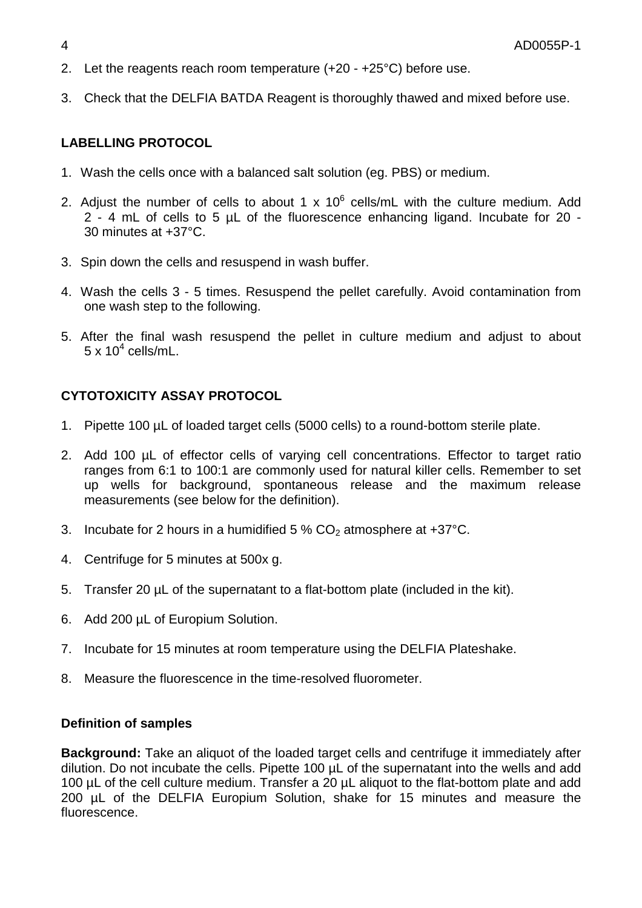- 2. Let the reagents reach room temperature (+20 +25°C) before use.
- 3. Check that the DELFIA BATDA Reagent is thoroughly thawed and mixed before use.

# **LABELLING PROTOCOL**

- 1. Wash the cells once with a balanced salt solution (eg. PBS) or medium.
- 2. Adjust the number of cells to about 1 x 10 $^6$  cells/mL with the culture medium. Add 2 - 4 mL of cells to 5 µL of the fluorescence enhancing ligand. Incubate for 20 - 30 minutes at +37°C.
- 3. Spin down the cells and resuspend in wash buffer.
- 4. Wash the cells 3 5 times. Resuspend the pellet carefully. Avoid contamination from one wash step to the following.
- 5. After the final wash resuspend the pellet in culture medium and adjust to about  $5 \times 10^4$  cells/mL.

# **CYTOTOXICITY ASSAY PROTOCOL**

- 1. Pipette 100 µL of loaded target cells (5000 cells) to a round-bottom sterile plate.
- 2. Add 100 µL of effector cells of varying cell concentrations. Effector to target ratio ranges from 6:1 to 100:1 are commonly used for natural killer cells. Remember to set up wells for background, spontaneous release and the maximum release measurements (see below for the definition).
- 3. Incubate for 2 hours in a humidified  $5\%$  CO<sub>2</sub> atmosphere at  $+37^{\circ}$ C.
- 4. Centrifuge for 5 minutes at 500x g.
- 5. Transfer 20 µL of the supernatant to a flat-bottom plate (included in the kit).
- 6. Add 200 µL of Europium Solution.
- 7. Incubate for 15 minutes at room temperature using the DELFIA Plateshake.
- 8. Measure the fluorescence in the time-resolved fluorometer.

### **Definition of samples**

**Background:** Take an aliquot of the loaded target cells and centrifuge it immediately after dilution. Do not incubate the cells. Pipette 100 µL of the supernatant into the wells and add 100 µL of the cell culture medium. Transfer a 20 µL aliquot to the flat-bottom plate and add 200 µL of the DELFIA Europium Solution, shake for 15 minutes and measure the fluorescence.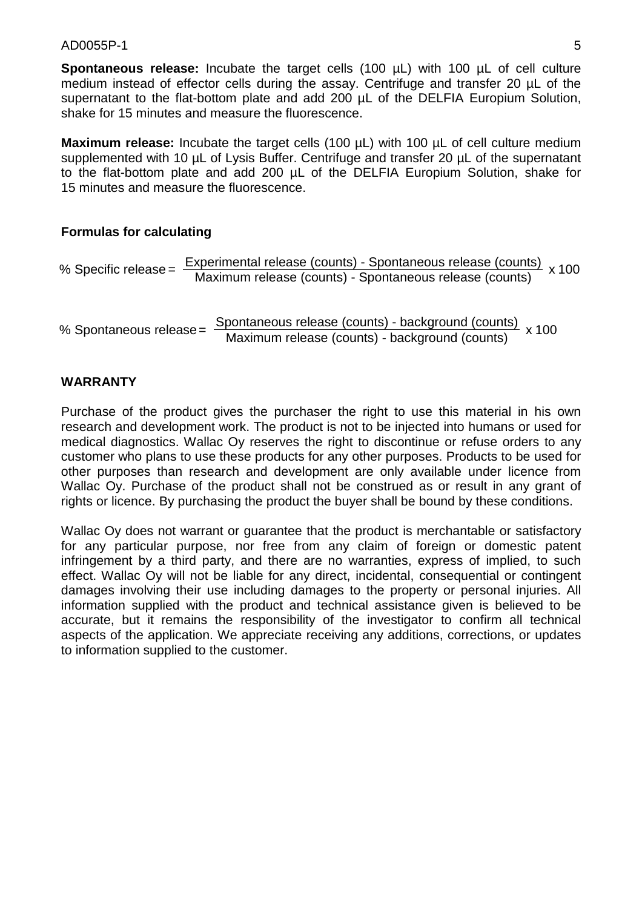#### $AD0055P-1$  5

**Spontaneous release:** Incubate the target cells (100 uL) with 100 uL of cell culture medium instead of effector cells during the assay. Centrifuge and transfer 20 µL of the supernatant to the flat-bottom plate and add 200 µL of the DELFIA Europium Solution, shake for 15 minutes and measure the fluorescence.

**Maximum release:** Incubate the target cells (100 µL) with 100 µL of cell culture medium supplemented with 10 µL of Lysis Buffer. Centrifuge and transfer 20 µL of the supernatant to the flat-bottom plate and add 200 µL of the DELFIA Europium Solution, shake for 15 minutes and measure the fluorescence.

### **Formulas for calculating**

% Specific release =  $\frac{Experimental$  release (counts) - Spontaneous release (counts) x 100<br>Maximum release (counts) - Spontaneous release (counts)

% Spontaneous release = Spontaneous release (counts) - background (counts) x 100

### **WARRANTY**

Purchase of the product gives the purchaser the right to use this material in his own research and development work. The product is not to be injected into humans or used for medical diagnostics. Wallac Oy reserves the right to discontinue or refuse orders to any customer who plans to use these products for any other purposes. Products to be used for other purposes than research and development are only available under licence from Wallac Oy. Purchase of the product shall not be construed as or result in any grant of rights or licence. By purchasing the product the buyer shall be bound by these conditions.

Wallac Oy does not warrant or guarantee that the product is merchantable or satisfactory for any particular purpose, nor free from any claim of foreign or domestic patent infringement by a third party, and there are no warranties, express of implied, to such effect. Wallac Oy will not be liable for any direct, incidental, consequential or contingent damages involving their use including damages to the property or personal injuries. All information supplied with the product and technical assistance given is believed to be accurate, but it remains the responsibility of the investigator to confirm all technical aspects of the application. We appreciate receiving any additions, corrections, or updates to information supplied to the customer.